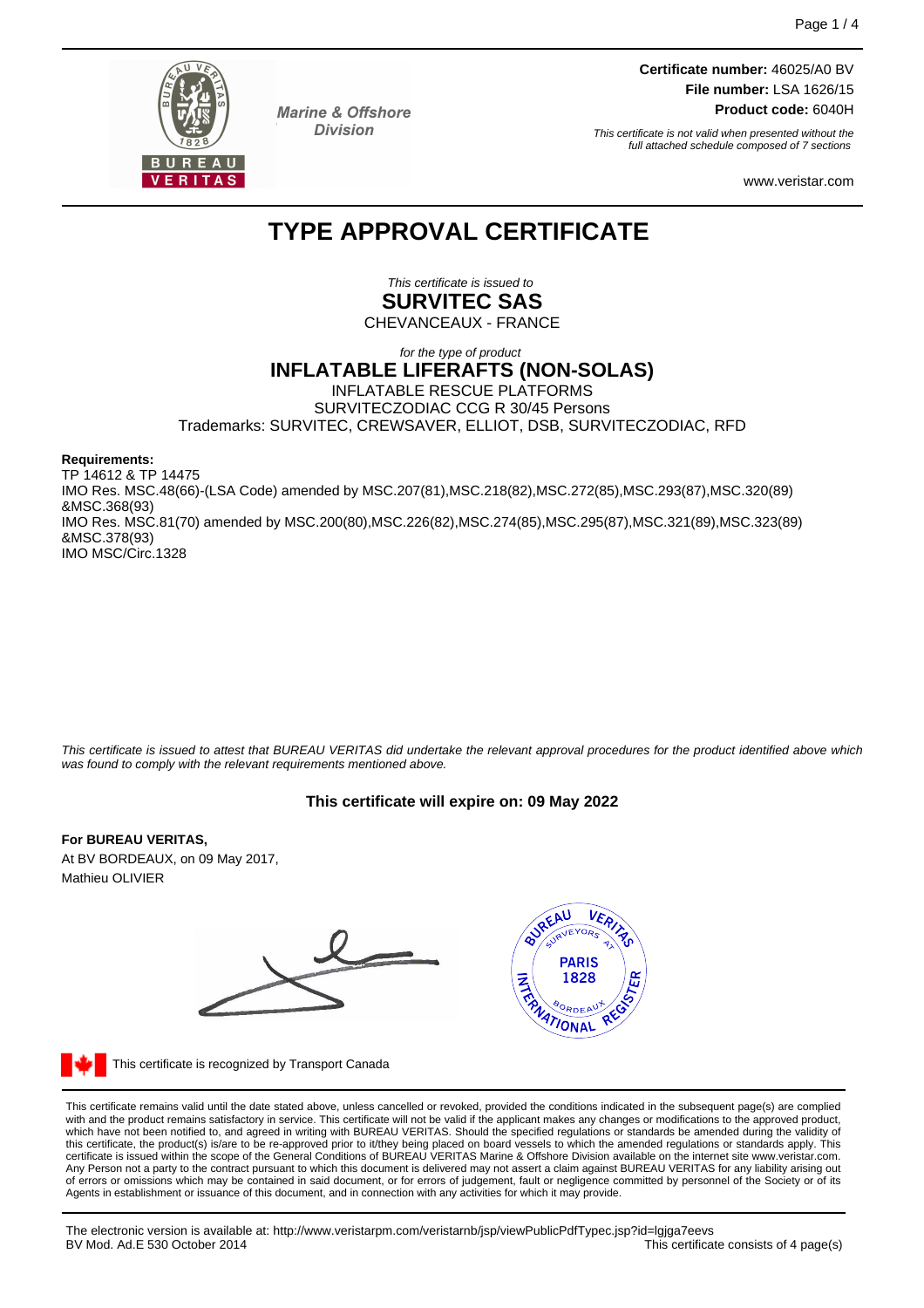

**Marine & Offshore Division** 

**Certificate number:** 46025/A0 BV **File number:** LSA 1626/15 **Product code:** 6040H

This certificate is not valid when presented without the full attached schedule composed of 7 sections

www.veristar.com

# **TYPE APPROVAL CERTIFICATE**

This certificate is issued to **SURVITEC SAS**

CHEVANCEAUX - FRANCE

## for the type of product **INFLATABLE LIFERAFTS (NON-SOLAS)** INFLATABLE RESCUE PLATFORMS SURVITECZODIAC CCG R 30/45 Persons Trademarks: SURVITEC, CREWSAVER, ELLIOT, DSB, SURVITECZODIAC, RFD

**Requirements:**

TP 14612 & TP 14475 IMO Res. MSC.48(66)-(LSA Code) amended by MSC.207(81),MSC.218(82),MSC.272(85),MSC.293(87),MSC.320(89) &MSC.368(93) IMO Res. MSC.81(70) amended by MSC.200(80),MSC.226(82),MSC.274(85),MSC.295(87),MSC.321(89),MSC.323(89) &MSC.378(93) IMO MSC/Circ.1328

This certificate is issued to attest that BUREAU VERITAS did undertake the relevant approval procedures for the product identified above which was found to comply with the relevant requirements mentioned above.

# **This certificate will expire on: 09 May 2022**

## **For BUREAU VERITAS,**

At BV BORDEAUX, on 09 May 2017, Mathieu OLIVIER





This certificate is recognized by Transport Canada

This certificate remains valid until the date stated above, unless cancelled or revoked, provided the conditions indicated in the subsequent page(s) are complied with and the product remains satisfactory in service. This certificate will not be valid if the applicant makes any changes or modifications to the approved product, which have not been notified to, and agreed in writing with BUREAU VERITAS. Should the specified regulations or standards be amended during the validity of<br>this certificate, the product(s) is/are to be re-approved prior to Any Person not a party to the contract pursuant to which this document is delivered may not assert a claim against BUREAU VERITAS for any liability arising out of errors or omissions which may be contained in said document, or for errors of judgement, fault or negligence committed by personnel of the Society or of its Agents in establishment or issuance of this document, and in connection with any activities for which it may provide.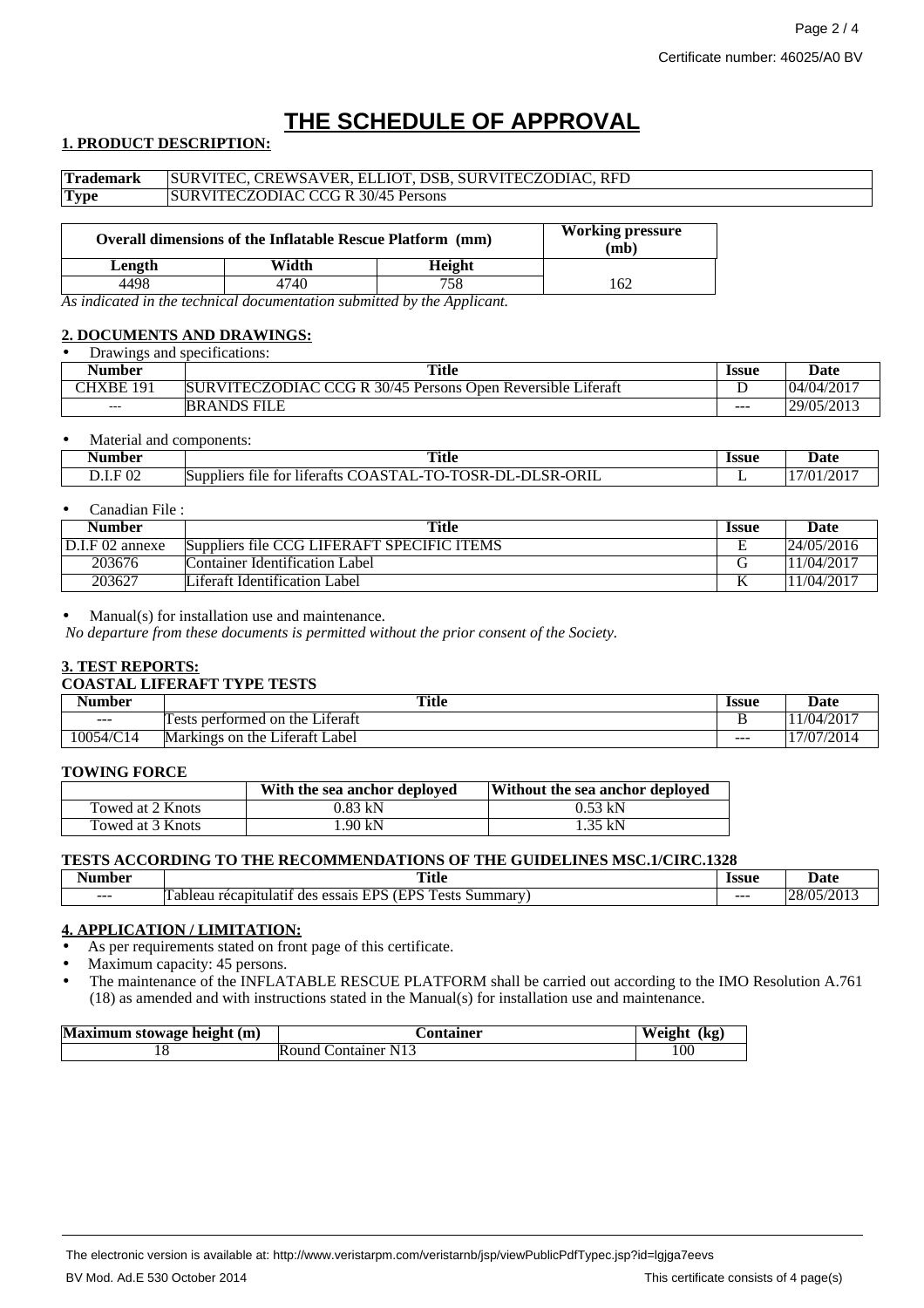# **THE SCHEDULE OF APPROVAL**

## **1. PRODUCT DESCRIPTION:**

| <b>Trademark</b>                                          | SURVITEC, CREWSAVER, ELLIOT, DSB, SURVITECZODIAC, RFD |       |                                 |  |  |
|-----------------------------------------------------------|-------------------------------------------------------|-------|---------------------------------|--|--|
| <b>Type</b>                                               | <b>SURVITECZODIAC CCG R 30/45 Persons</b>             |       |                                 |  |  |
|                                                           |                                                       |       |                                 |  |  |
| Overall dimensions of the Inflatable Rescue Platform (mm) |                                                       |       | <b>Working pressure</b><br>(mb) |  |  |
| Length                                                    |                                                       | Width | Height                          |  |  |

4498 4740 758 162 *As indicated in the technical documentation submitted by the Applicant.*

#### **2. DOCUMENTS AND DRAWINGS:** • Drawings and specifications:

| Drawings and specifications. |                                                             |              |            |
|------------------------------|-------------------------------------------------------------|--------------|------------|
| Number                       | Title                                                       | <b>Issue</b> | Date       |
| CHXBE<br>101                 | SURVITECZODIAC CCG R 30/45 Persons Open Reversible Liferaft | ້            | 04/04/2017 |
| $- - -$                      | <b>BRANDS FILE</b>                                          | $- - -$      | 29/05/2013 |

#### Material and components:

| √umber         | <b>Title</b>                                                                                                                                                                                     | <b>Issue</b> | $\sim$ |
|----------------|--------------------------------------------------------------------------------------------------------------------------------------------------------------------------------------------------|--------------|--------|
|                | ____                                                                                                                                                                                             | .            | Date   |
| .F 02<br>ת.נ.כ | $\sim$<br>ORIL<br>$-$<br>.<br>$\sim$ $\sim$<br>maxan<br>$\sim$<br>эı<br>$\mathbf{H}$<br>5R-0<br>tor<br>Suppliers<br>literatts<br>$\mathbf{A}$<br>Tile<br>INK-1<br>$\cdots$<br>$\sim$<br>.<br>. P | -            | 120    |

#### • Canadian File :

| Number            | Title                                      | -Issue | Date       |
|-------------------|--------------------------------------------|--------|------------|
| $D.I.F 02$ annexe | Suppliers file CCG LIFERAFT SPECIFIC ITEMS | E      | 24/05/2016 |
| 203676            | Container Identification Label             |        | 11/04/2017 |
| 203627            | Liferaft Identification Label              | V      | 11/04/2017 |

#### $Manual(s)$  for installation use and maintenance.

*No departure from these documents is permitted without the prior consent of the Society.*

## **3. TEST REPORTS:**

#### **COASTAL LIFERAFT TYPE TESTS**

| --<br>Number | <b>Title</b>                                                   | Issue | Date             |
|--------------|----------------------------------------------------------------|-------|------------------|
| $- - -$      | $\cdot$ $\sim$<br>performed<br>. on<br>∟iteraft<br>the<br>ests |       | /2017<br>/04     |
| 10054/C14    | Label<br>Markings<br>on<br>_1†era††<br>the                     | ---   | 7/07/2014<br>177 |

#### **TOWING FORCE**

|                  | With the sea anchor deployed | Without the sea anchor deployed |
|------------------|------------------------------|---------------------------------|
| Towed at 2 Knots | 0.83 kN                      | $0.53$ kN                       |
| Towed at 3 Knots | .90 kN                       | $1.35$ kN                       |

### **TESTS ACCORDING TO THE RECOMMENDATIONS OF THE GUIDELINES MSC.1/CIRC.1328**

| umber   | <b>Title</b>                                                                                                                                      | Issue   | Jate                                     |
|---------|---------------------------------------------------------------------------------------------------------------------------------------------------|---------|------------------------------------------|
| $- - -$ | <b>CONT</b><br>$\Gamma$ $\Gamma$ $\Gamma$ $\Gamma$<br><b>CDC</b><br>ests<br>Summary<br>atıt<br>des<br>essais<br>bleal<br>$\epsilon$<br>ятн<br>. Г | $- - -$ | '201<br>ാധ<br>$\sqrt{2}$<br>$\mathbf{z}$ |

### **4. APPLICATION / LIMITATION:**

As per requirements stated on front page of this certificate.

Maximum capacity: 45 persons.

• The maintenance of the INFLATABLE RESCUE PLATFORM shall be carried out according to the IMO Resolution A.761 (18) as amended and with instructions stated in the Manual(s) for installation use and maintenance.

| Maximum stowage height (m) | <b>Container</b>    | (kg<br>Weight |
|----------------------------|---------------------|---------------|
| 1 O                        | Round Container N13 | 100           |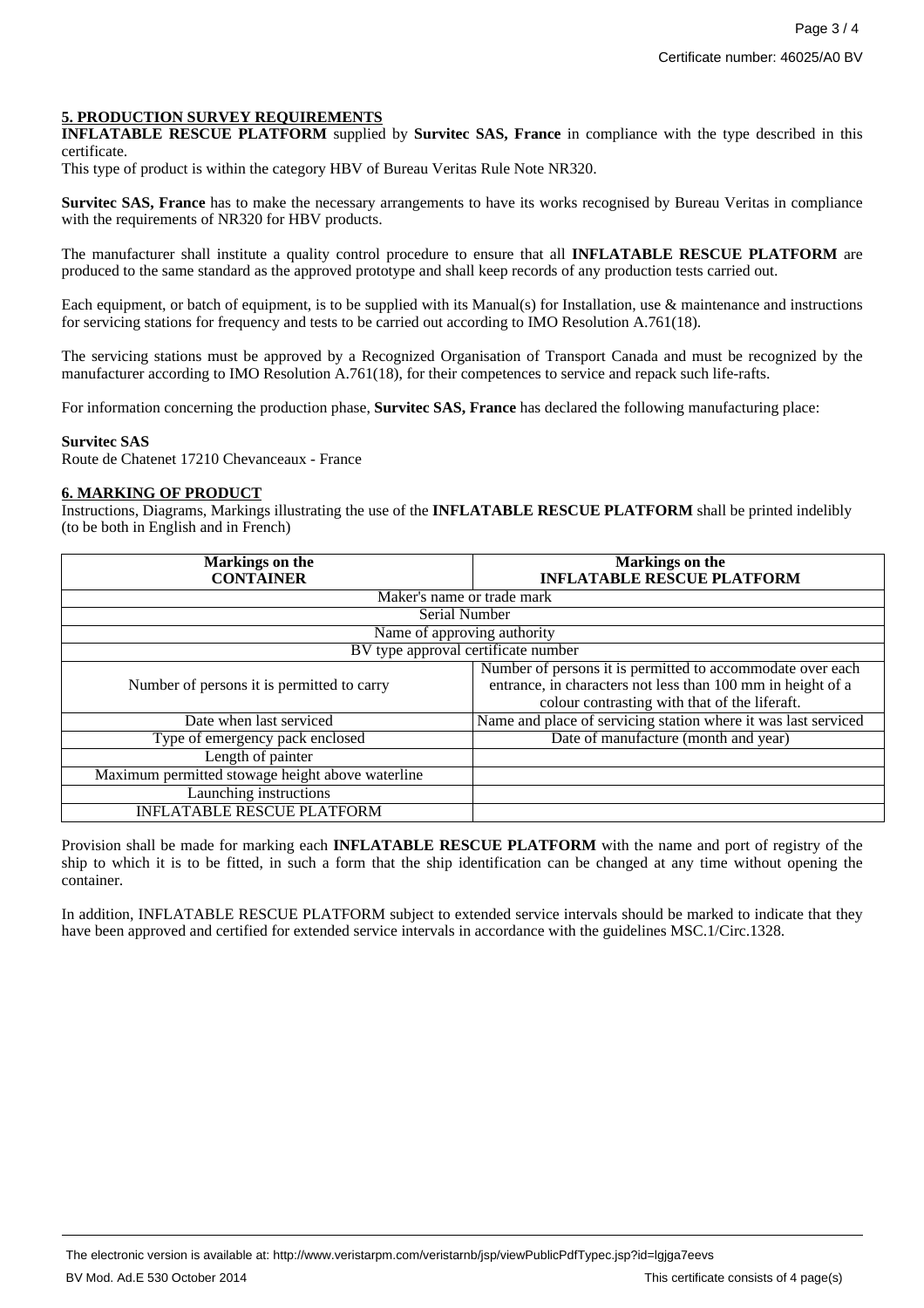## **5. PRODUCTION SURVEY REQUIREMENTS**

**INFLATABLE RESCUE PLATFORM** supplied by **Survitec SAS, France** in compliance with the type described in this certificate.

This type of product is within the category HBV of Bureau Veritas Rule Note NR320.

**Survitec SAS, France** has to make the necessary arrangements to have its works recognised by Bureau Veritas in compliance with the requirements of NR320 for HBV products.

The manufacturer shall institute a quality control procedure to ensure that all **INFLATABLE RESCUE PLATFORM** are produced to the same standard as the approved prototype and shall keep records of any production tests carried out.

Each equipment, or batch of equipment, is to be supplied with its Manual(s) for Installation, use & maintenance and instructions for servicing stations for frequency and tests to be carried out according to IMO Resolution A.761(18).

The servicing stations must be approved by a Recognized Organisation of Transport Canada and must be recognized by the manufacturer according to IMO Resolution A.761(18), for their competences to service and repack such life-rafts.

For information concerning the production phase, **Survitec SAS, France** has declared the following manufacturing place:

#### **Survitec SAS**

Route de Chatenet 17210 Chevanceaux - France

### **6. MARKING OF PRODUCT**

Instructions, Diagrams, Markings illustrating the use of the **INFLATABLE RESCUE PLATFORM** shall be printed indelibly (to be both in English and in French)

| <b>Markings</b> on the                           | Markings on the                                                |
|--------------------------------------------------|----------------------------------------------------------------|
| <b>CONTAINER</b>                                 | <b>INFLATABLE RESCUE PLATFORM</b>                              |
| Maker's name or trade mark                       |                                                                |
| Serial Number                                    |                                                                |
| Name of approving authority                      |                                                                |
| BV type approval certificate number              |                                                                |
|                                                  | Number of persons it is permitted to accommodate over each     |
| Number of persons it is permitted to carry       | entrance, in characters not less than 100 mm in height of a    |
|                                                  | colour contrasting with that of the liferaft.                  |
| Date when last serviced                          | Name and place of servicing station where it was last serviced |
| Type of emergency pack enclosed                  | Date of manufacture (month and year)                           |
| Length of painter                                |                                                                |
| Maximum permitted stowage height above waterline |                                                                |
| Launching instructions                           |                                                                |
| <b>INFLATABLE RESCUE PLATFORM</b>                |                                                                |

Provision shall be made for marking each **INFLATABLE RESCUE PLATFORM** with the name and port of registry of the ship to which it is to be fitted, in such a form that the ship identification can be changed at any time without opening the container.

In addition, INFLATABLE RESCUE PLATFORM subject to extended service intervals should be marked to indicate that they have been approved and certified for extended service intervals in accordance with the guidelines MSC.1/Circ.1328.